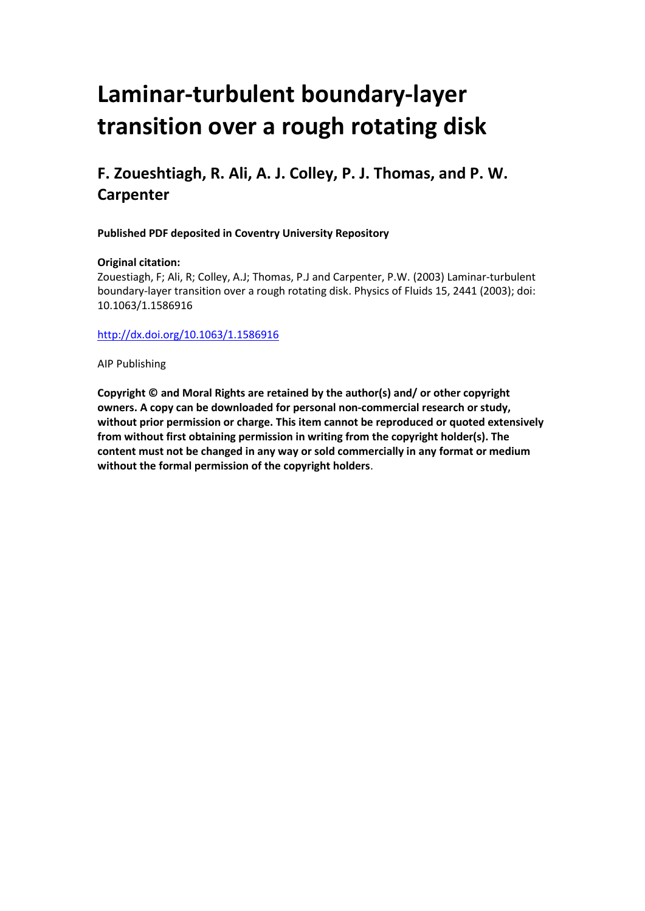# **Laminar-turbulent boundary-layer transition over a rough rotating disk**

## **F. Zoueshtiagh, R. Ali, A. J. Colley, P. J. Thomas, and P. W. Carpenter**

**Published PDF deposited in Coventry University Repository**

#### **Original citation:**

Zouestiagh, F; Ali, R; Colley, A.J; Thomas, P.J and Carpenter, P.W. (2003) Laminar-turbulent boundary-layer transition over a rough rotating disk. Physics of Fluids 15, 2441 (2003); doi: 10.1063/1.1586916

<http://dx.doi.org/10.1063/1.1586916>

AIP Publishing

**Copyright © and Moral Rights are retained by the author(s) and/ or other copyright owners. A copy can be downloaded for personal non-commercial research or study, without prior permission or charge. This item cannot be reproduced or quoted extensively from without first obtaining permission in writing from the copyright holder(s). The content must not be changed in any way or sold commercially in any format or medium without the formal permission of the copyright holders**.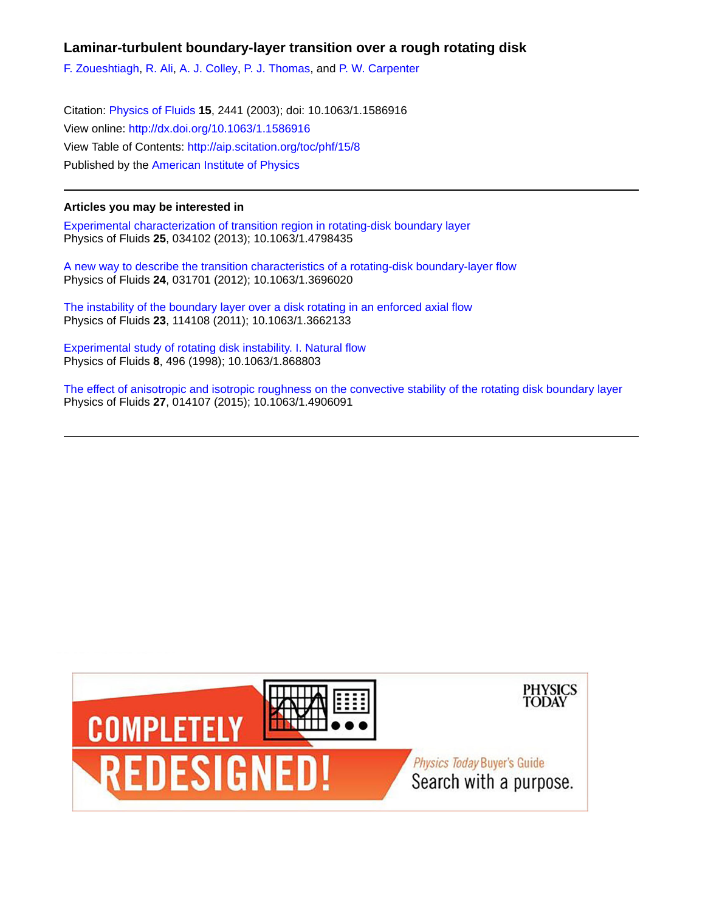#### **Laminar-turbulent boundary-layer transition over a rough rotating disk**

[F. Zoueshtiagh,](http://aip.scitation.org/author/Zoueshtiagh%2C+F) [R. Ali](http://aip.scitation.org/author/Ali%2C+R), [A. J. Colley](http://aip.scitation.org/author/Colley%2C+A+J), [P. J. Thomas,](http://aip.scitation.org/author/Thomas%2C+P+J) and [P. W. Carpenter](http://aip.scitation.org/author/Carpenter%2C+P+W)

Citation: [Physics of Fluids](/loi/phf) **15**, 2441 (2003); doi: 10.1063/1.1586916 View online: <http://dx.doi.org/10.1063/1.1586916> View Table of Contents: <http://aip.scitation.org/toc/phf/15/8> Published by the [American Institute of Physics](http://aip.scitation.org/publisher/)

#### **Articles you may be interested in**

[Experimental characterization of transition region in rotating-disk boundary layer](http://aip.scitation.org/doi/abs/10.1063/1.4798435) Physics of Fluids **25**, 034102 (2013); 10.1063/1.4798435

[A new way to describe the transition characteristics of a rotating-disk boundary-layer flow](http://aip.scitation.org/doi/abs/10.1063/1.3696020) Physics of Fluids **24**, 031701 (2012); 10.1063/1.3696020

[The instability of the boundary layer over a disk rotating in an enforced axial flow](http://aip.scitation.org/doi/abs/10.1063/1.3662133) Physics of Fluids **23**, 114108 (2011); 10.1063/1.3662133

[Experimental study of rotating disk instability. I. Natural flow](http://aip.scitation.org/doi/abs/10.1063/1.868803) Physics of Fluids **8**, 496 (1998); 10.1063/1.868803

[The effect of anisotropic and isotropic roughness on the convective stability of the rotating disk boundary layer](http://aip.scitation.org/doi/abs/10.1063/1.4906091) Physics of Fluids **27**, 014107 (2015); 10.1063/1.4906091

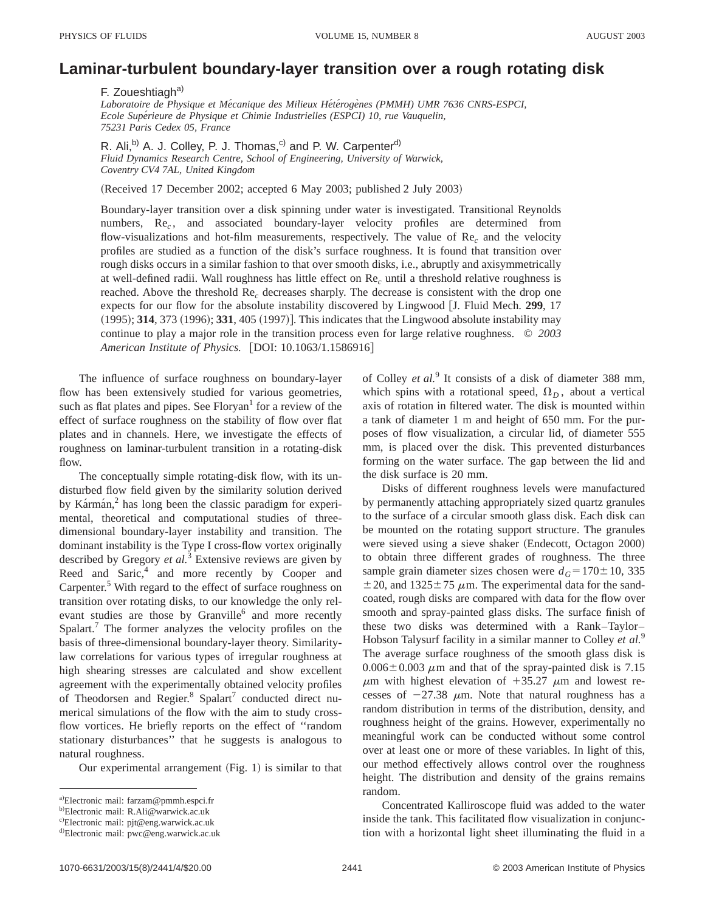### **Laminar-turbulent boundary-layer transition over a rough rotating disk**

F. Zoueshtiagh<sup>a)</sup>

Laboratoire de Physique et Mécanique des Milieux Hétérogènes (PMMH) UMR 7636 CNRS-ESPCI, *Ecole Supe´rieure de Physique et Chimie Industrielles (ESPCI) 10, rue Vauquelin, 75231 Paris Cedex 05, France*

R. Ali,<sup>b)</sup> A. J. Colley, P. J. Thomas,<sup>c)</sup> and P. W. Carpenter<sup>d)</sup> *Fluid Dynamics Research Centre, School of Engineering, University of Warwick, Coventry CV4 7AL, United Kingdom*

(Received 17 December 2002; accepted 6 May 2003; published 2 July 2003)

Boundary-layer transition over a disk spinning under water is investigated. Transitional Reynolds numbers, Re<sub>c</sub>, and associated boundary-layer velocity profiles are determined from flow-visualizations and hot-film measurements, respectively. The value of Re*<sup>c</sup>* and the velocity profiles are studied as a function of the disk's surface roughness. It is found that transition over rough disks occurs in a similar fashion to that over smooth disks, i.e., abruptly and axisymmetrically at well-defined radii. Wall roughness has little effect on Re*<sup>c</sup>* until a threshold relative roughness is reached. Above the threshold Re*<sup>c</sup>* decreases sharply. The decrease is consistent with the drop one expects for our flow for the absolute instability discovered by Lingwood [J. Fluid Mech. 299, 17  $(1995)$ ; **314**, 373  $(1996)$ ; **331**, 405  $(1997)$ . This indicates that the Lingwood absolute instability may continue to play a major role in the transition process even for large relative roughness. © *2003 American Institute of Physics.* [DOI: 10.1063/1.1586916]

The influence of surface roughness on boundary-layer flow has been extensively studied for various geometries, such as flat plates and pipes. See  $Floryan<sup>1</sup>$  for a review of the effect of surface roughness on the stability of flow over flat plates and in channels. Here, we investigate the effects of roughness on laminar-turbulent transition in a rotating-disk flow.

The conceptually simple rotating-disk flow, with its undisturbed flow field given by the similarity solution derived by Ka $r_{\text{m}}$  has long been the classic paradigm for experimental, theoretical and computational studies of threedimensional boundary-layer instability and transition. The dominant instability is the Type I cross-flow vortex originally described by Gregory *et al.*<sup>3</sup> Extensive reviews are given by Reed and Saric, $4$  and more recently by Cooper and Carpenter.<sup>5</sup> With regard to the effect of surface roughness on transition over rotating disks, to our knowledge the only relevant studies are those by Granville<sup>6</sup> and more recently Spalart.<sup>7</sup> The former analyzes the velocity profiles on the basis of three-dimensional boundary-layer theory. Similaritylaw correlations for various types of irregular roughness at high shearing stresses are calculated and show excellent agreement with the experimentally obtained velocity profiles of Theodorsen and Regier.<sup>8</sup> Spalart<sup>7</sup> conducted direct numerical simulations of the flow with the aim to study crossflow vortices. He briefly reports on the effect of ''random stationary disturbances'' that he suggests is analogous to natural roughness.

Our experimental arrangement  $(Fig. 1)$  is similar to that

of Colley *et al.*<sup>9</sup> It consists of a disk of diameter 388 mm, which spins with a rotational speed,  $\Omega_D$ , about a vertical axis of rotation in filtered water. The disk is mounted within a tank of diameter 1 m and height of 650 mm. For the purposes of flow visualization, a circular lid, of diameter 555 mm, is placed over the disk. This prevented disturbances forming on the water surface. The gap between the lid and the disk surface is 20 mm.

Disks of different roughness levels were manufactured by permanently attaching appropriately sized quartz granules to the surface of a circular smooth glass disk. Each disk can be mounted on the rotating support structure. The granules were sieved using a sieve shaker (Endecott, Octagon 2000) to obtain three different grades of roughness. The three sample grain diameter sizes chosen were  $d<sub>G</sub>$ =170 $\pm$ 10, 335  $\pm$  20, and 1325 $\pm$ 75  $\mu$ m. The experimental data for the sandcoated, rough disks are compared with data for the flow over smooth and spray-painted glass disks. The surface finish of these two disks was determined with a Rank–Taylor– Hobson Talysurf facility in a similar manner to Colley *et al.*<sup>9</sup> The average surface roughness of the smooth glass disk is  $0.006 \pm 0.003$   $\mu$ m and that of the spray-painted disk is 7.15  $\mu$ m with highest elevation of +35.27  $\mu$ m and lowest recesses of  $-27.38 \mu m$ . Note that natural roughness has a random distribution in terms of the distribution, density, and roughness height of the grains. However, experimentally no meaningful work can be conducted without some control over at least one or more of these variables. In light of this, our method effectively allows control over the roughness height. The distribution and density of the grains remains random.

Concentrated Kalliroscope fluid was added to the water inside the tank. This facilitated flow visualization in conjunction with a horizontal light sheet illuminating the fluid in a

a)Electronic mail: farzam@pmmh.espci.fr

<sup>&</sup>lt;sup>b)</sup>Electronic mail: R.Ali@warwick.ac.uk

<sup>&</sup>lt;sup>c)</sup>Electronic mail: pjt@eng.warwick.ac.uk

d)Electronic mail: pwc@eng.warwick.ac.uk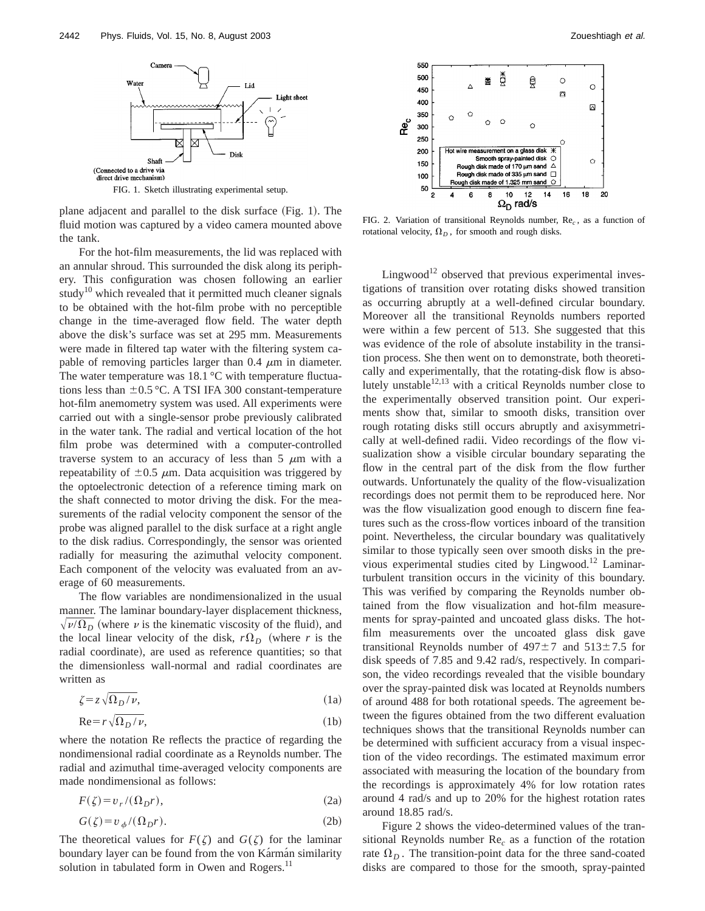

plane adjacent and parallel to the disk surface  $(Fig. 1)$ . The fluid motion was captured by a video camera mounted above the tank.

For the hot-film measurements, the lid was replaced with an annular shroud. This surrounded the disk along its periphery. This configuration was chosen following an earlier study<sup>10</sup> which revealed that it permitted much cleaner signals to be obtained with the hot-film probe with no perceptible change in the time-averaged flow field. The water depth above the disk's surface was set at 295 mm. Measurements were made in filtered tap water with the filtering system capable of removing particles larger than  $0.4 \mu m$  in diameter. The water temperature was  $18.1 \degree C$  with temperature fluctuations less than  $\pm 0.5$  °C. A TSI IFA 300 constant-temperature hot-film anemometry system was used. All experiments were carried out with a single-sensor probe previously calibrated in the water tank. The radial and vertical location of the hot film probe was determined with a computer-controlled traverse system to an accuracy of less than  $5 \mu m$  with a repeatability of  $\pm 0.5$   $\mu$ m. Data acquisition was triggered by the optoelectronic detection of a reference timing mark on the shaft connected to motor driving the disk. For the measurements of the radial velocity component the sensor of the probe was aligned parallel to the disk surface at a right angle to the disk radius. Correspondingly, the sensor was oriented radially for measuring the azimuthal velocity component. Each component of the velocity was evaluated from an average of 60 measurements.

The flow variables are nondimensionalized in the usual manner. The laminar boundary-layer displacement thickness,  $\sqrt{\nu/\Omega_D}$  (where v is the kinematic viscosity of the fluid), and the local linear velocity of the disk,  $r\Omega_D$  (where *r* is the radial coordinate), are used as reference quantities; so that the dimensionless wall-normal and radial coordinates are written as

$$
\zeta = z \sqrt{\Omega_D / \nu},\tag{1a}
$$

$$
Re = r \sqrt{\Omega_D / \nu},\tag{1b}
$$

where the notation Re reflects the practice of regarding the nondimensional radial coordinate as a Reynolds number. The radial and azimuthal time-averaged velocity components are made nondimensional as follows:

$$
F(\zeta) = v_r / (\Omega_D r),\tag{2a}
$$

$$
G(\zeta) = v_{\phi}/(\Omega_D r). \tag{2b}
$$

The theoretical values for  $F(\zeta)$  and  $G(\zeta)$  for the laminar boundary layer can be found from the von Kármán similarity solution in tabulated form in Owen and Rogers.<sup>11</sup>



FIG. 2. Variation of transitional Reynolds number, Re<sub>c</sub>, as a function of rotational velocity,  $\Omega_D$ , for smooth and rough disks.

Lingwood<sup>12</sup> observed that previous experimental investigations of transition over rotating disks showed transition as occurring abruptly at a well-defined circular boundary. Moreover all the transitional Reynolds numbers reported were within a few percent of 513. She suggested that this was evidence of the role of absolute instability in the transition process. She then went on to demonstrate, both theoretically and experimentally, that the rotating-disk flow is absolutely unstable $12,13$  with a critical Reynolds number close to the experimentally observed transition point. Our experiments show that, similar to smooth disks, transition over rough rotating disks still occurs abruptly and axisymmetrically at well-defined radii. Video recordings of the flow visualization show a visible circular boundary separating the flow in the central part of the disk from the flow further outwards. Unfortunately the quality of the flow-visualization recordings does not permit them to be reproduced here. Nor was the flow visualization good enough to discern fine features such as the cross-flow vortices inboard of the transition point. Nevertheless, the circular boundary was qualitatively similar to those typically seen over smooth disks in the previous experimental studies cited by Lingwood.<sup>12</sup> Laminarturbulent transition occurs in the vicinity of this boundary. This was verified by comparing the Reynolds number obtained from the flow visualization and hot-film measurements for spray-painted and uncoated glass disks. The hotfilm measurements over the uncoated glass disk gave transitional Reynolds number of  $497\pm7$  and  $513\pm7.5$  for disk speeds of 7.85 and 9.42 rad/s, respectively. In comparison, the video recordings revealed that the visible boundary over the spray-painted disk was located at Reynolds numbers of around 488 for both rotational speeds. The agreement between the figures obtained from the two different evaluation techniques shows that the transitional Reynolds number can be determined with sufficient accuracy from a visual inspection of the video recordings. The estimated maximum error associated with measuring the location of the boundary from the recordings is approximately 4% for low rotation rates around 4 rad/s and up to 20% for the highest rotation rates around 18.85 rad/s.

Figure 2 shows the video-determined values of the transitional Reynolds number Re*<sup>c</sup>* as a function of the rotation rate  $\Omega_D$ . The transition-point data for the three sand-coated disks are compared to those for the smooth, spray-painted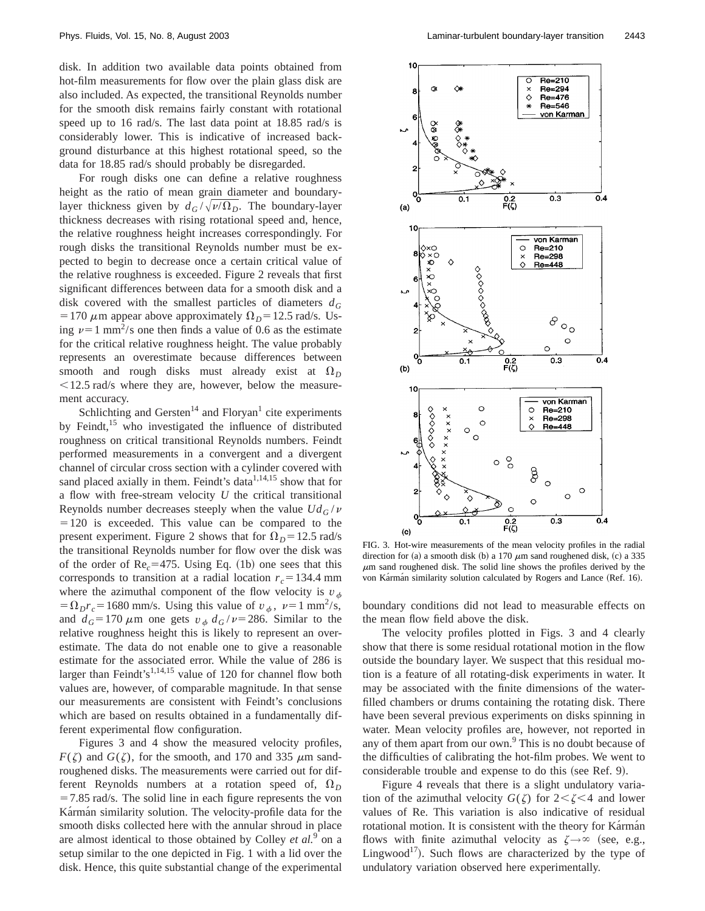disk. In addition two available data points obtained from hot-film measurements for flow over the plain glass disk are also included. As expected, the transitional Reynolds number for the smooth disk remains fairly constant with rotational speed up to 16 rad/s. The last data point at 18.85 rad/s is considerably lower. This is indicative of increased background disturbance at this highest rotational speed, so the data for 18.85 rad/s should probably be disregarded.

For rough disks one can define a relative roughness height as the ratio of mean grain diameter and boundarylayer thickness given by  $d_G/\sqrt{\nu/\Omega_D}$ . The boundary-layer thickness decreases with rising rotational speed and, hence, the relative roughness height increases correspondingly. For rough disks the transitional Reynolds number must be expected to begin to decrease once a certain critical value of the relative roughness is exceeded. Figure 2 reveals that first significant differences between data for a smooth disk and a disk covered with the smallest particles of diameters  $d_G$ = 170  $\mu$ m appear above approximately  $\Omega_D$ = 12.5 rad/s. Using  $\nu=1$  mm<sup>2</sup>/s one then finds a value of 0.6 as the estimate for the critical relative roughness height. The value probably represents an overestimate because differences between smooth and rough disks must already exist at  $\Omega_D$  $<$  12.5 rad/s where they are, however, below the measurement accuracy.

Schlichting and Gersten<sup>14</sup> and Floryan<sup>1</sup> cite experiments by Feindt, $15$  who investigated the influence of distributed roughness on critical transitional Reynolds numbers. Feindt performed measurements in a convergent and a divergent channel of circular cross section with a cylinder covered with sand placed axially in them. Feindt's data $1,14,15$  show that for a flow with free-stream velocity *U* the critical transitional Reynolds number decreases steeply when the value  $U d_G/v$  $=120$  is exceeded. This value can be compared to the present experiment. Figure 2 shows that for  $\Omega_D = 12.5$  rad/s the transitional Reynolds number for flow over the disk was of the order of  $Re<sub>c</sub>=475$ . Using Eq. (1b) one sees that this corresponds to transition at a radial location  $r_c = 134.4$  mm where the azimuthal component of the flow velocity is  $v_{\phi}$  $\Omega_D r_c = 1680$  mm/s. Using this value of  $v<sub>\phi</sub>$ ,  $\nu = 1$  mm<sup>2</sup>/s, and  $d_G = 170 \mu \text{m}$  one gets  $v_\phi d_G / v = 286$ . Similar to the relative roughness height this is likely to represent an overestimate. The data do not enable one to give a reasonable estimate for the associated error. While the value of 286 is larger than Feindt's<sup>1,14,15</sup> value of 120 for channel flow both values are, however, of comparable magnitude. In that sense our measurements are consistent with Feindt's conclusions which are based on results obtained in a fundamentally different experimental flow configuration.

Figures 3 and 4 show the measured velocity profiles,  $F(\zeta)$  and  $G(\zeta)$ , for the smooth, and 170 and 335  $\mu$ m sandroughened disks. The measurements were carried out for different Reynolds numbers at a rotation speed of,  $\Omega_D$  $=7.85$  rad/s. The solid line in each figure represents the von Karman similarity solution. The velocity-profile data for the smooth disks collected here with the annular shroud in place are almost identical to those obtained by Colley *et al.*<sup>9</sup> on a setup similar to the one depicted in Fig. 1 with a lid over the disk. Hence, this quite substantial change of the experimental



FIG. 3. Hot-wire measurements of the mean velocity profiles in the radial direction for (a) a smooth disk (b) a 170  $\mu$ m sand roughened disk, (c) a 335  $\mu$ m sand roughened disk. The solid line shows the profiles derived by the von Karman similarity solution calculated by Rogers and Lance (Ref. 16).

boundary conditions did not lead to measurable effects on the mean flow field above the disk.

The velocity profiles plotted in Figs. 3 and 4 clearly show that there is some residual rotational motion in the flow outside the boundary layer. We suspect that this residual motion is a feature of all rotating-disk experiments in water. It may be associated with the finite dimensions of the waterfilled chambers or drums containing the rotating disk. There have been several previous experiments on disks spinning in water. Mean velocity profiles are, however, not reported in any of them apart from our own.<sup>9</sup> This is no doubt because of the difficulties of calibrating the hot-film probes. We went to considerable trouble and expense to do this (see Ref. 9).

Figure 4 reveals that there is a slight undulatory variation of the azimuthal velocity  $G(\zeta)$  for  $2 < \zeta < 4$  and lower values of Re. This variation is also indicative of residual rotational motion. It is consistent with the theory for Karman flows with finite azimuthal velocity as  $\zeta \rightarrow \infty$  (see, e.g., Lingwood<sup>17</sup>). Such flows are characterized by the type of undulatory variation observed here experimentally.